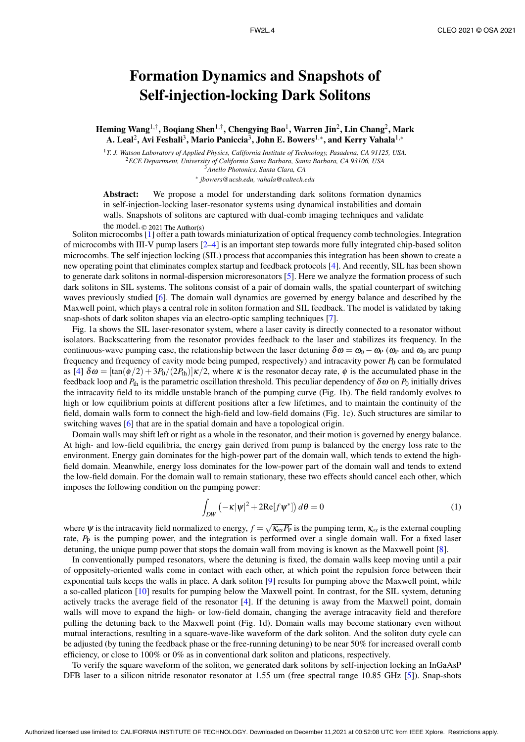## Formation Dynamics and Snapshots of Self-injection-locking Dark Solitons

Heming Wang $^{1,\dagger}$ , Boqiang Shen $^{1,\dagger}$ , Chengying Bao $^{1}$ , Warren Jin $^{2}$ , Lin Chang $^{2}$ , Mark A. Leal $^2$ , Avi Feshali $^3$ , Mario Paniccia $^3$ , John E. Bowers $^{1,\ast},$  and Kerry Vahala $^{1,\ast}$ 

*T. J. Watson Laboratory of Applied Physics, California Institute of Technology, Pasadena, CA 91125, USA. ECE Department, University of California Santa Barbara, Santa Barbara, CA 93106, USA Anello Photonics, Santa Clara, CA* ∗ *jbowers@ucsb.edu, vahala@caltech.edu*

Abstract: We propose a model for understanding dark solitons formation dynamics in self-injection-locking laser-resonator systems using dynamical instabilities and domain walls. Snapshots of solitons are captured with dual-comb imaging techniques and validate the model.  $\odot$  2021 The Author(s)

Soliton microcombs [1] offer a path towards miniaturization of optical frequency comb technologies. Integration of microcombs with III-V pump lasers [2–4] is an important step towards more fully integrated chip-based soliton microcombs. The self injection locking (SIL) process that accompanies this integration has been shown to create a new operating point that eliminates complex startup and feedback protocols [4]. And recently, SIL has been shown to generate dark solitons in normal-dispersion microresonators [5]. Here we analyze the formation process of such dark solitons in SIL systems. The solitons consist of a pair of domain walls, the spatial counterpart of switching waves previously studied [6]. The domain wall dynamics are governed by energy balance and described by the Maxwell point, which plays a central role in soliton formation and SIL feedback. The model is validated by taking snap-shots of dark soliton shapes via an electro-optic sampling techniques [7].

Fig. 1a shows the SIL laser-resonator system, where a laser cavity is directly connected to a resonator without isolators. Backscattering from the resonator provides feedback to the laser and stabilizes its frequency. In the continuous-wave pumping case, the relationship between the laser detuning  $\delta \omega = \omega_0 - \omega_P$  ( $\omega_P$  and  $\omega_0$  are pump frequency and frequency of cavity mode being pumped, respectively) and intracavity power  $P_0$  can be formulated as [4]  $\delta \omega = [\tan(\phi/2) + 3P_0/(2P_{th})]\kappa/2$ , where  $\kappa$  is the resonator decay rate,  $\phi$  is the accumulated phase in the feedback loop and  $P_{\text{th}}$  is the parametric oscillation threshold. This peculiar dependency of  $\delta \omega$  on  $P_0$  initially drives the intracavity field to its middle unstable branch of the pumping curve (Fig. 1b). The field randomly evolves to high or low equilibrium points at different positions after a few lifetimes, and to maintain the continuity of the field, domain walls form to connect the high-field and low-field domains (Fig. 1c). Such structures are similar to switching waves [6] that are in the spatial domain and have a topological origin.

Domain walls may shift left or right as a whole in the resonator, and their motion is governed by energy balance. At high- and low-field equilibria, the energy gain derived from pump is balanced by the energy loss rate to the environment. Energy gain dominates for the high-power part of the domain wall, which tends to extend the highfield domain. Meanwhile, energy loss dominates for the low-power part of the domain wall and tends to extend the low-field domain. For the domain wall to remain stationary, these two effects should cancel each other, which imposes the following condition on the pumping power:

$$
\int_{DW} \left( -\kappa |\psi|^2 + 2\mathrm{Re}[f\psi^*] \right) d\theta = 0 \tag{1}
$$

where  $\psi$  is the intracavity field normalized to energy,  $f = \sqrt{\kappa_{ex}P_P}$  is the pumping term,  $\kappa_{ex}$  is the external coupling rate, *P*<sub>P</sub> is the pumping power, and the integration is performed over a single domain wall. For a fixed laser detuning, the unique pump power that stops the domain wall from moving is known as the Maxwell point [8].

In conventionally pumped resonators, where the detuning is fixed, the domain walls keep moving until a pair of oppositely-oriented walls come in contact with each other, at which point the repulsion force between their exponential tails keeps the walls in place. A dark soliton [9] results for pumping above the Maxwell point, while a so-called platicon [10] results for pumping below the Maxwell point. In contrast, for the SIL system, detuning actively tracks the average field of the resonator [4]. If the detuning is away from the Maxwell point, domain walls will move to expand the high- or low-field domain, changing the average intracavity field and therefore pulling the detuning back to the Maxwell point (Fig. 1d). Domain walls may become stationary even without mutual interactions, resulting in a square-wave-like waveform of the dark soliton. And the soliton duty cycle can be adjusted (by tuning the feedback phase or the free-running detuning) to be near 50% for increased overall comb efficiency, or close to 100% or 0% as in conventional dark soliton and platicons, respectively.

To verify the square waveform of the soliton, we generated dark solitons by self-injection locking an InGaAsP DFB laser to a silicon nitride resonator resonator at 1.55 um (free spectral range 10.85 GHz [5]). Snap-shots